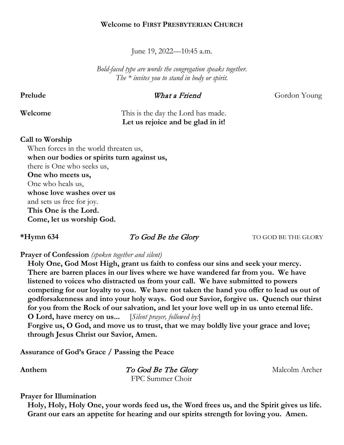### **Welcome to FIRST PRESBYTERIAN CHURCH**

June 19, 2022—10:45 a.m.

*Bold-faced type are words the congregation speaks together. The \* invites you to stand in body or spirit.* 

**Prelude** What a Friend Gordon Young

# **Welcome** This is the day the Lord has made.  **Let us rejoice and be glad in it!**

### **Call to Worship**

When forces in the world threaten us, **when our bodies or spirits turn against us,** there is One who seeks us, **One who meets us,** One who heals us, **whose love washes over us** and sets us free for joy. **This One is the Lord. Come, let us worship God.**

**\*Hymn 634 To God Be the Glory TO GOD BE THE GLORY** 

**Prayer of Confession** *(spoken together and silent)*

**Holy One, God Most High, grant us faith to confess our sins and seek your mercy. There are barren places in our lives where we have wandered far from you. We have listened to voices who distracted us from your call. We have submitted to powers competing for our loyalty to you. We have not taken the hand you offer to lead us out of godforsakenness and into your holy ways. God our Savior, forgive us. Quench our thirst for you from the Rock of our salvation, and let your love well up in us unto eternal life. O Lord, have mercy on us...** [*Silent prayer, followed by:*] **Forgive us, O God, and move us to trust, that we may boldly live your grace and love;** 

**through Jesus Christ our Savior, Amen.**

**Assurance of God's Grace / Passing the Peace**

Anthem *To God Be The Glory* Malcolm Archer FPC Summer Choir

**Prayer for Illumination**

**Holy, Holy, Holy One, your words feed us, the Word frees us, and the Spirit gives us life. Grant our ears an appetite for hearing and our spirits strength for loving you. Amen.**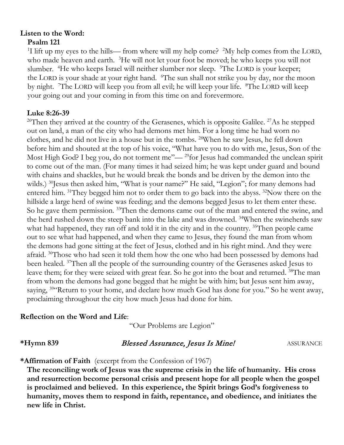# **Listen to the Word: Psalm 121**

<sup>1</sup>I lift up my eyes to the hills— from where will my help come? <sup>2</sup>My help comes from the LORD, who made heaven and earth. <sup>3</sup>He will not let your foot be moved; he who keeps you will not slumber. <sup>4</sup>He who keeps Israel will neither slumber nor sleep. <sup>5</sup>The LORD is your keeper; the LORD is your shade at your right hand. The sun shall not strike you by day, nor the moon by night. <sup>7</sup>The LORD will keep you from all evil; he will keep your life. <sup>8</sup>The LORD will keep your going out and your coming in from this time on and forevermore.

# **Luke 8:26-39**

<sup>26</sup>Then they arrived at the country of the Gerasenes, which is opposite Galilee. <sup>27</sup>As he stepped out on land, a man of the city who had demons met him. For a long time he had worn no clothes, and he did not live in a house but in the tombs. 28When he saw Jesus, he fell down before him and shouted at the top of his voice, "What have you to do with me, Jesus, Son of the Most High God? I beg you, do not torment me"—<sup>29</sup>for Jesus had commanded the unclean spirit to come out of the man. (For many times it had seized him; he was kept under guard and bound with chains and shackles, but he would break the bonds and be driven by the demon into the wilds.) <sup>30</sup>Jesus then asked him, "What is your name?" He said, "Legion"; for many demons had entered him.  $31$ They begged him not to order them to go back into the abyss.  $32$ Now there on the hillside a large herd of swine was feeding; and the demons begged Jesus to let them enter these. So he gave them permission. <sup>33</sup>Then the demons came out of the man and entered the swine, and the herd rushed down the steep bank into the lake and was drowned. 34When the swineherds saw what had happened, they ran off and told it in the city and in the country. <sup>35</sup>Then people came out to see what had happened, and when they came to Jesus, they found the man from whom the demons had gone sitting at the feet of Jesus, clothed and in his right mind. And they were afraid. <sup>36</sup>Those who had seen it told them how the one who had been possessed by demons had been healed. 37Then all the people of the surrounding country of the Gerasenes asked Jesus to leave them; for they were seized with great fear. So he got into the boat and returned. <sup>38</sup>The man from whom the demons had gone begged that he might be with him; but Jesus sent him away, saying, <sup>39</sup> Return to your home, and declare how much God has done for you." So he went away, proclaiming throughout the city how much Jesus had done for him.

# **Reflection on the Word and Life**:

"Our Problems are Legion"

### **\*Hymn 839** Blessed Assurance, Jesus Is Mine! ASSURANCE

# **\*Affirmation of Faith** (excerpt from the Confession of 1967)

**The reconciling work of Jesus was the supreme crisis in the life of humanity. His cross and resurrection become personal crisis and present hope for all people when the gospel is proclaimed and believed. In this experience, the Spirit brings God's forgiveness to humanity, moves them to respond in faith, repentance, and obedience, and initiates the new life in Christ.**